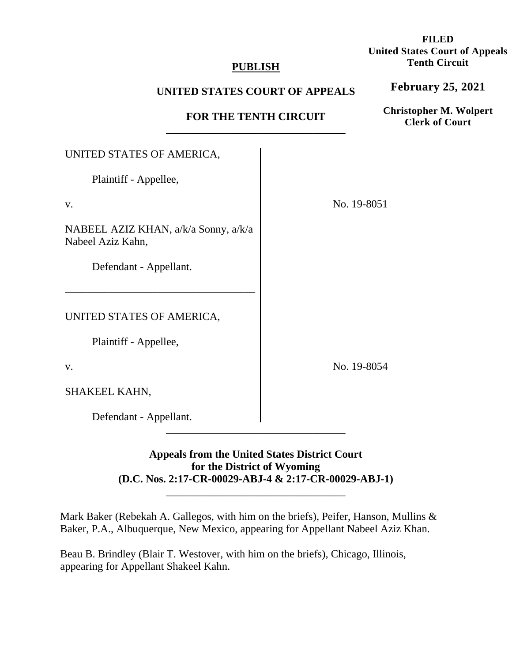## **PUBLISH**

# **UNITED STATES COURT OF APPEALS**

# **FOR THE TENTH CIRCUIT**

# \_\_\_\_\_\_\_\_\_\_\_\_\_\_\_\_\_\_\_\_\_\_\_\_\_\_\_\_\_\_\_\_\_ UNITED STATES OF AMERICA, Plaintiff - Appellee, No. 19-8051

NABEEL AZIZ KHAN, a/k/a Sonny, a/k/a Nabeel Aziz Kahn,

–––––––––––––––––––––––––––––––––––

Defendant - Appellant.

UNITED STATES OF AMERICA,

Plaintiff - Appellee,

v.

v.

SHAKEEL KAHN,

Defendant - Appellant.

# **Appeals from the United States District Court for the District of Wyoming (D.C. Nos. 2:17-CR-00029-ABJ-4 & 2:17-CR-00029-ABJ-1)**

\_\_\_\_\_\_\_\_\_\_\_\_\_\_\_\_\_\_\_\_\_\_\_\_\_\_\_\_\_\_\_\_\_

\_\_\_\_\_\_\_\_\_\_\_\_\_\_\_\_\_\_\_\_\_\_\_\_\_\_\_\_\_\_\_\_\_

Mark Baker (Rebekah A. Gallegos, with him on the briefs), Peifer, Hanson, Mullins & Baker, P.A., Albuquerque, New Mexico, appearing for Appellant Nabeel Aziz Khan.

Beau B. Brindley (Blair T. Westover, with him on the briefs), Chicago, Illinois, appearing for Appellant Shakeel Kahn.

**February 25, 2021**

**Christopher M. Wolpert Clerk of Court**

No. 19-8054

**FILED United States Court of Appeals Tenth Circuit**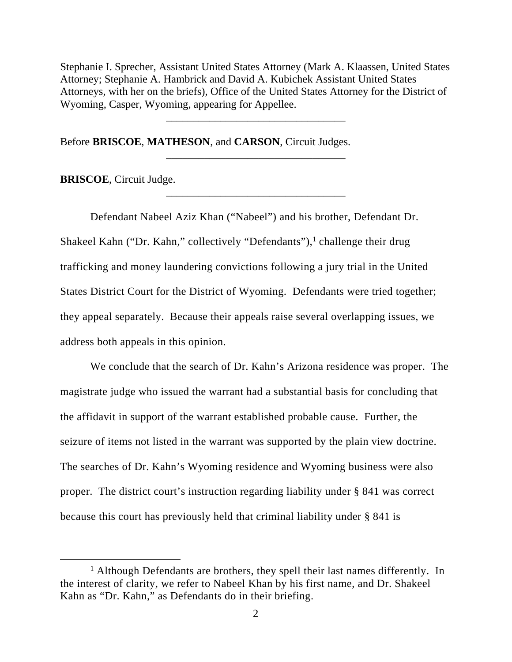Stephanie I. Sprecher, Assistant United States Attorney (Mark A. Klaassen, United States Attorney; Stephanie A. Hambrick and David A. Kubichek Assistant United States Attorneys, with her on the briefs), Office of the United States Attorney for the District of Wyoming, Casper, Wyoming, appearing for Appellee.

\_\_\_\_\_\_\_\_\_\_\_\_\_\_\_\_\_\_\_\_\_\_\_\_\_\_\_\_\_\_\_\_\_

\_\_\_\_\_\_\_\_\_\_\_\_\_\_\_\_\_\_\_\_\_\_\_\_\_\_\_\_\_\_\_\_\_

\_\_\_\_\_\_\_\_\_\_\_\_\_\_\_\_\_\_\_\_\_\_\_\_\_\_\_\_\_\_\_\_\_

Before **BRISCOE**, **MATHESON**, and **CARSON**, Circuit Judges.

**BRISCOE**, Circuit Judge.

Defendant Nabeel Aziz Khan ("Nabeel") and his brother, Defendant Dr. Shakeel Kahn ("Dr. Kahn," collectively "Defendants"),<sup>1</sup> challenge their drug trafficking and money laundering convictions following a jury trial in the United States District Court for the District of Wyoming. Defendants were tried together; they appeal separately. Because their appeals raise several overlapping issues, we address both appeals in this opinion.

We conclude that the search of Dr. Kahn's Arizona residence was proper. The magistrate judge who issued the warrant had a substantial basis for concluding that the affidavit in support of the warrant established probable cause. Further, the seizure of items not listed in the warrant was supported by the plain view doctrine. The searches of Dr. Kahn's Wyoming residence and Wyoming business were also proper. The district court's instruction regarding liability under § 841 was correct because this court has previously held that criminal liability under § 841 is

<sup>&</sup>lt;sup>1</sup> Although Defendants are brothers, they spell their last names differently. In the interest of clarity, we refer to Nabeel Khan by his first name, and Dr. Shakeel Kahn as "Dr. Kahn," as Defendants do in their briefing.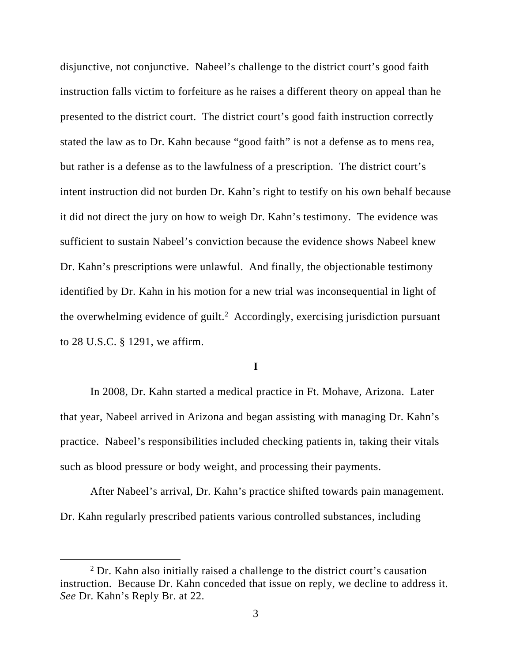disjunctive, not conjunctive. Nabeel's challenge to the district court's good faith instruction falls victim to forfeiture as he raises a different theory on appeal than he presented to the district court. The district court's good faith instruction correctly stated the law as to Dr. Kahn because "good faith" is not a defense as to mens rea, but rather is a defense as to the lawfulness of a prescription. The district court's intent instruction did not burden Dr. Kahn's right to testify on his own behalf because it did not direct the jury on how to weigh Dr. Kahn's testimony. The evidence was sufficient to sustain Nabeel's conviction because the evidence shows Nabeel knew Dr. Kahn's prescriptions were unlawful. And finally, the objectionable testimony identified by Dr. Kahn in his motion for a new trial was inconsequential in light of the overwhelming evidence of guilt.<sup>2</sup> Accordingly, exercising jurisdiction pursuant to 28 U.S.C. § 1291, we affirm.

#### **I**

In 2008, Dr. Kahn started a medical practice in Ft. Mohave, Arizona. Later that year, Nabeel arrived in Arizona and began assisting with managing Dr. Kahn's practice. Nabeel's responsibilities included checking patients in, taking their vitals such as blood pressure or body weight, and processing their payments.

After Nabeel's arrival, Dr. Kahn's practice shifted towards pain management. Dr. Kahn regularly prescribed patients various controlled substances, including

<sup>&</sup>lt;sup>2</sup> Dr. Kahn also initially raised a challenge to the district court's causation instruction. Because Dr. Kahn conceded that issue on reply, we decline to address it. *See* Dr. Kahn's Reply Br. at 22.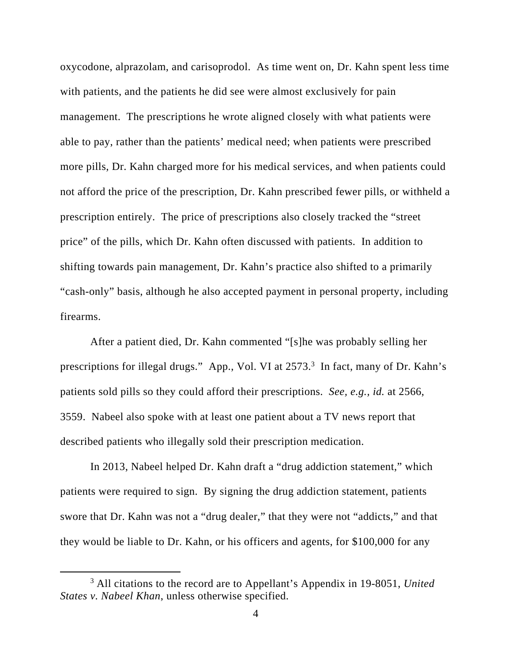oxycodone, alprazolam, and carisoprodol. As time went on, Dr. Kahn spent less time with patients, and the patients he did see were almost exclusively for pain management. The prescriptions he wrote aligned closely with what patients were able to pay, rather than the patients' medical need; when patients were prescribed more pills, Dr. Kahn charged more for his medical services, and when patients could not afford the price of the prescription, Dr. Kahn prescribed fewer pills, or withheld a prescription entirely. The price of prescriptions also closely tracked the "street price" of the pills, which Dr. Kahn often discussed with patients. In addition to shifting towards pain management, Dr. Kahn's practice also shifted to a primarily "cash-only" basis, although he also accepted payment in personal property, including firearms.

After a patient died, Dr. Kahn commented "[s]he was probably selling her prescriptions for illegal drugs." App., Vol. VI at 2573.<sup>3</sup> In fact, many of Dr. Kahn's patients sold pills so they could afford their prescriptions. *See, e.g., id.* at 2566, 3559. Nabeel also spoke with at least one patient about a TV news report that described patients who illegally sold their prescription medication.

In 2013, Nabeel helped Dr. Kahn draft a "drug addiction statement," which patients were required to sign. By signing the drug addiction statement, patients swore that Dr. Kahn was not a "drug dealer," that they were not "addicts," and that they would be liable to Dr. Kahn, or his officers and agents, for \$100,000 for any

<sup>3</sup> All citations to the record are to Appellant's Appendix in 19-8051, *United States v. Nabeel Khan*, unless otherwise specified.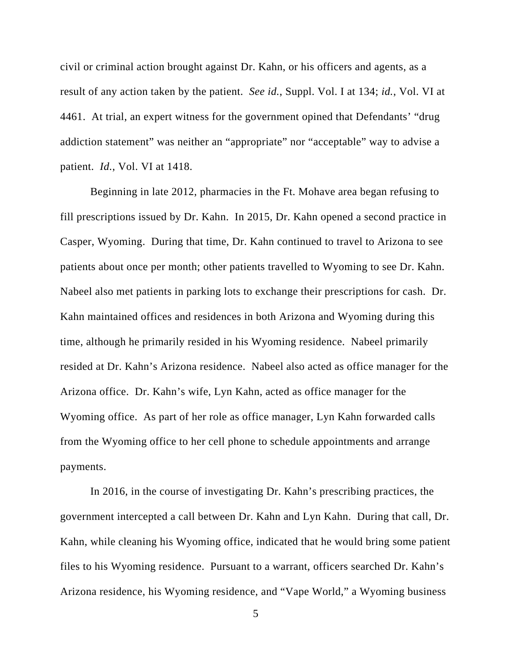civil or criminal action brought against Dr. Kahn, or his officers and agents, as a result of any action taken by the patient. *See id.*, Suppl. Vol. I at 134; *id.*, Vol. VI at 4461. At trial, an expert witness for the government opined that Defendants' "drug addiction statement" was neither an "appropriate" nor "acceptable" way to advise a patient. *Id.*, Vol. VI at 1418.

Beginning in late 2012, pharmacies in the Ft. Mohave area began refusing to fill prescriptions issued by Dr. Kahn. In 2015, Dr. Kahn opened a second practice in Casper, Wyoming. During that time, Dr. Kahn continued to travel to Arizona to see patients about once per month; other patients travelled to Wyoming to see Dr. Kahn. Nabeel also met patients in parking lots to exchange their prescriptions for cash. Dr. Kahn maintained offices and residences in both Arizona and Wyoming during this time, although he primarily resided in his Wyoming residence. Nabeel primarily resided at Dr. Kahn's Arizona residence. Nabeel also acted as office manager for the Arizona office. Dr. Kahn's wife, Lyn Kahn, acted as office manager for the Wyoming office. As part of her role as office manager, Lyn Kahn forwarded calls from the Wyoming office to her cell phone to schedule appointments and arrange payments.

In 2016, in the course of investigating Dr. Kahn's prescribing practices, the government intercepted a call between Dr. Kahn and Lyn Kahn. During that call, Dr. Kahn, while cleaning his Wyoming office, indicated that he would bring some patient files to his Wyoming residence. Pursuant to a warrant, officers searched Dr. Kahn's Arizona residence, his Wyoming residence, and "Vape World," a Wyoming business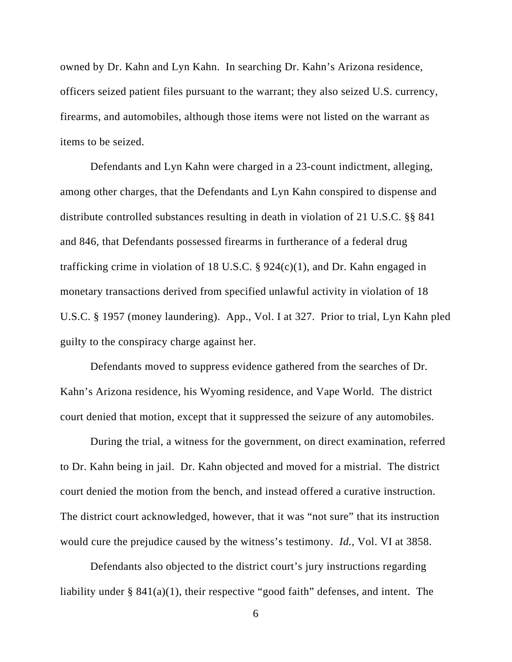owned by Dr. Kahn and Lyn Kahn. In searching Dr. Kahn's Arizona residence, officers seized patient files pursuant to the warrant; they also seized U.S. currency, firearms, and automobiles, although those items were not listed on the warrant as items to be seized.

Defendants and Lyn Kahn were charged in a 23-count indictment, alleging, among other charges, that the Defendants and Lyn Kahn conspired to dispense and distribute controlled substances resulting in death in violation of 21 U.S.C. §§ 841 and 846, that Defendants possessed firearms in furtherance of a federal drug trafficking crime in violation of 18 U.S.C. §  $924(c)(1)$ , and Dr. Kahn engaged in monetary transactions derived from specified unlawful activity in violation of 18 U.S.C. § 1957 (money laundering). App., Vol. I at 327. Prior to trial, Lyn Kahn pled guilty to the conspiracy charge against her.

Defendants moved to suppress evidence gathered from the searches of Dr. Kahn's Arizona residence, his Wyoming residence, and Vape World. The district court denied that motion, except that it suppressed the seizure of any automobiles.

During the trial, a witness for the government, on direct examination, referred to Dr. Kahn being in jail. Dr. Kahn objected and moved for a mistrial. The district court denied the motion from the bench, and instead offered a curative instruction. The district court acknowledged, however, that it was "not sure" that its instruction would cure the prejudice caused by the witness's testimony. *Id.*, Vol. VI at 3858.

Defendants also objected to the district court's jury instructions regarding liability under  $\S$  841(a)(1), their respective "good faith" defenses, and intent. The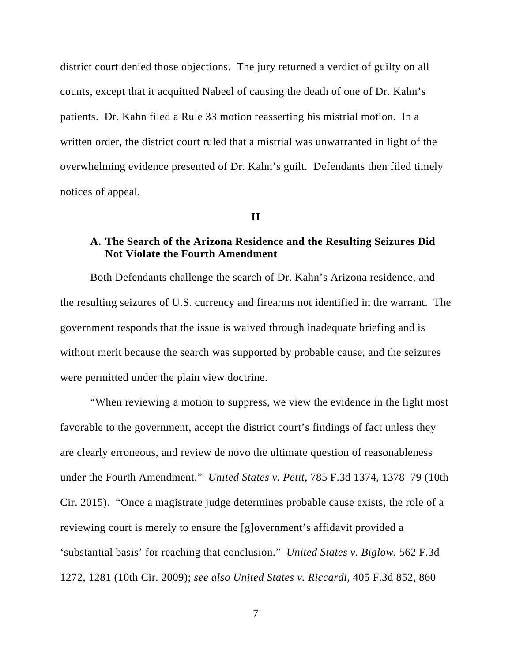district court denied those objections. The jury returned a verdict of guilty on all counts, except that it acquitted Nabeel of causing the death of one of Dr. Kahn's patients. Dr. Kahn filed a Rule 33 motion reasserting his mistrial motion. In a written order, the district court ruled that a mistrial was unwarranted in light of the overwhelming evidence presented of Dr. Kahn's guilt. Defendants then filed timely notices of appeal.

## **II**

## **A. The Search of the Arizona Residence and the Resulting Seizures Did Not Violate the Fourth Amendment**

Both Defendants challenge the search of Dr. Kahn's Arizona residence, and the resulting seizures of U.S. currency and firearms not identified in the warrant. The government responds that the issue is waived through inadequate briefing and is without merit because the search was supported by probable cause, and the seizures were permitted under the plain view doctrine.

"When reviewing a motion to suppress, we view the evidence in the light most favorable to the government, accept the district court's findings of fact unless they are clearly erroneous, and review de novo the ultimate question of reasonableness under the Fourth Amendment." *United States v. Petit,* 785 F.3d 1374, 1378–79 (10th Cir. 2015). "Once a magistrate judge determines probable cause exists, the role of a reviewing court is merely to ensure the [g]overnment's affidavit provided a 'substantial basis' for reaching that conclusion." *United States v. Biglow*, 562 F.3d 1272, 1281 (10th Cir. 2009); *see also United States v. Riccardi,* 405 F.3d 852, 860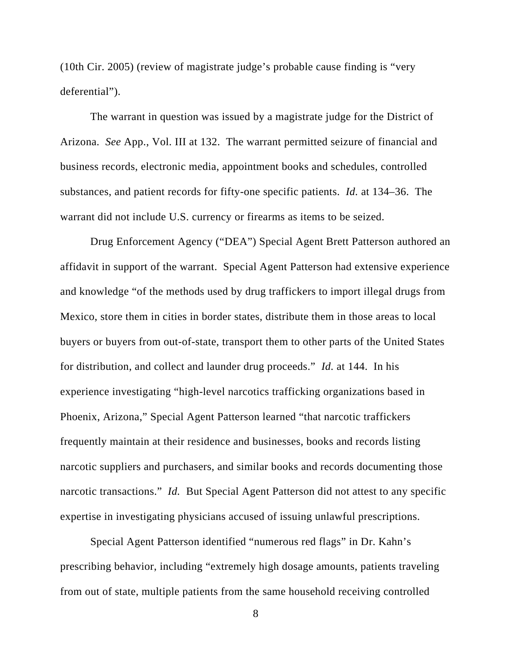(10th Cir. 2005) (review of magistrate judge's probable cause finding is "very deferential").

The warrant in question was issued by a magistrate judge for the District of Arizona. *See* App., Vol. III at 132. The warrant permitted seizure of financial and business records, electronic media, appointment books and schedules, controlled substances, and patient records for fifty-one specific patients. *Id.* at 134–36. The warrant did not include U.S. currency or firearms as items to be seized.

 Drug Enforcement Agency ("DEA") Special Agent Brett Patterson authored an affidavit in support of the warrant. Special Agent Patterson had extensive experience and knowledge "of the methods used by drug traffickers to import illegal drugs from Mexico, store them in cities in border states, distribute them in those areas to local buyers or buyers from out-of-state, transport them to other parts of the United States for distribution, and collect and launder drug proceeds." *Id.* at 144. In his experience investigating "high-level narcotics trafficking organizations based in Phoenix, Arizona," Special Agent Patterson learned "that narcotic traffickers frequently maintain at their residence and businesses, books and records listing narcotic suppliers and purchasers, and similar books and records documenting those narcotic transactions." *Id.* But Special Agent Patterson did not attest to any specific expertise in investigating physicians accused of issuing unlawful prescriptions.

 Special Agent Patterson identified "numerous red flags" in Dr. Kahn's prescribing behavior, including "extremely high dosage amounts, patients traveling from out of state, multiple patients from the same household receiving controlled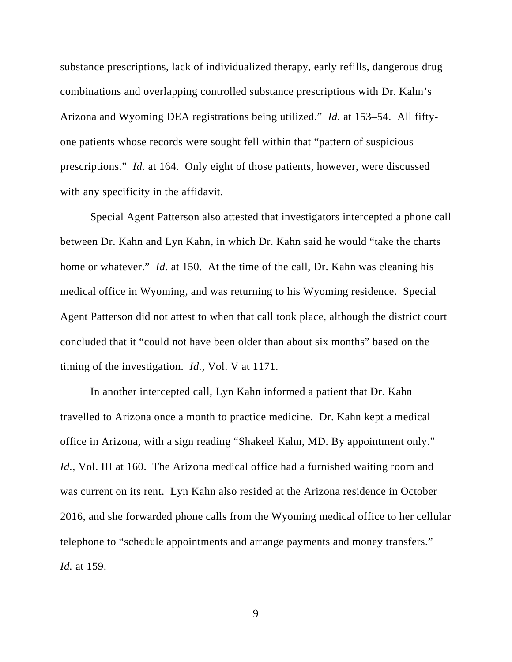substance prescriptions, lack of individualized therapy, early refills, dangerous drug combinations and overlapping controlled substance prescriptions with Dr. Kahn's Arizona and Wyoming DEA registrations being utilized." *Id.* at 153–54. All fiftyone patients whose records were sought fell within that "pattern of suspicious prescriptions." *Id.* at 164. Only eight of those patients, however, were discussed with any specificity in the affidavit.

Special Agent Patterson also attested that investigators intercepted a phone call between Dr. Kahn and Lyn Kahn, in which Dr. Kahn said he would "take the charts home or whatever." *Id.* at 150. At the time of the call, Dr. Kahn was cleaning his medical office in Wyoming, and was returning to his Wyoming residence. Special Agent Patterson did not attest to when that call took place, although the district court concluded that it "could not have been older than about six months" based on the timing of the investigation. *Id.*, Vol. V at 1171.

In another intercepted call, Lyn Kahn informed a patient that Dr. Kahn travelled to Arizona once a month to practice medicine. Dr. Kahn kept a medical office in Arizona, with a sign reading "Shakeel Kahn, MD. By appointment only." *Id.*, Vol. III at 160. The Arizona medical office had a furnished waiting room and was current on its rent. Lyn Kahn also resided at the Arizona residence in October 2016, and she forwarded phone calls from the Wyoming medical office to her cellular telephone to "schedule appointments and arrange payments and money transfers." *Id.* at 159.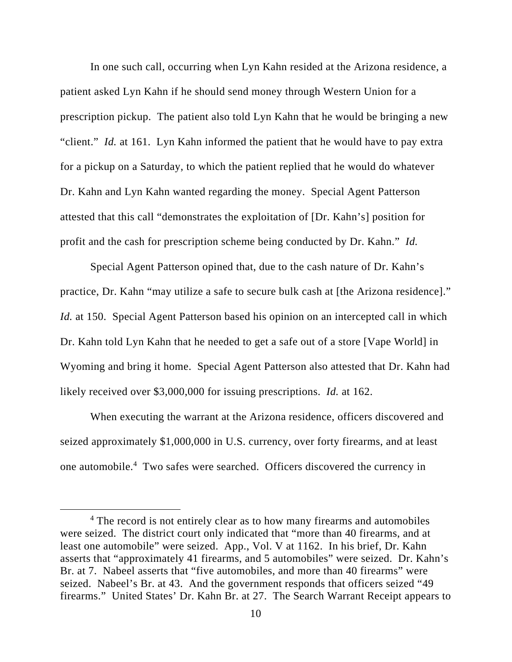In one such call, occurring when Lyn Kahn resided at the Arizona residence, a patient asked Lyn Kahn if he should send money through Western Union for a prescription pickup. The patient also told Lyn Kahn that he would be bringing a new "client." *Id.* at 161. Lyn Kahn informed the patient that he would have to pay extra for a pickup on a Saturday, to which the patient replied that he would do whatever Dr. Kahn and Lyn Kahn wanted regarding the money. Special Agent Patterson attested that this call "demonstrates the exploitation of [Dr. Kahn's] position for profit and the cash for prescription scheme being conducted by Dr. Kahn." *Id.*

Special Agent Patterson opined that, due to the cash nature of Dr. Kahn's practice, Dr. Kahn "may utilize a safe to secure bulk cash at [the Arizona residence]." *Id.* at 150. Special Agent Patterson based his opinion on an intercepted call in which Dr. Kahn told Lyn Kahn that he needed to get a safe out of a store [Vape World] in Wyoming and bring it home. Special Agent Patterson also attested that Dr. Kahn had likely received over \$3,000,000 for issuing prescriptions. *Id.* at 162.

When executing the warrant at the Arizona residence, officers discovered and seized approximately \$1,000,000 in U.S. currency, over forty firearms, and at least one automobile.4 Two safes were searched. Officers discovered the currency in

<sup>&</sup>lt;sup>4</sup> The record is not entirely clear as to how many firearms and automobiles were seized. The district court only indicated that "more than 40 firearms, and at least one automobile" were seized. App., Vol. V at 1162. In his brief, Dr. Kahn asserts that "approximately 41 firearms, and 5 automobiles" were seized. Dr. Kahn's Br. at 7. Nabeel asserts that "five automobiles, and more than 40 firearms" were seized. Nabeel's Br. at 43. And the government responds that officers seized "49 firearms." United States' Dr. Kahn Br. at 27. The Search Warrant Receipt appears to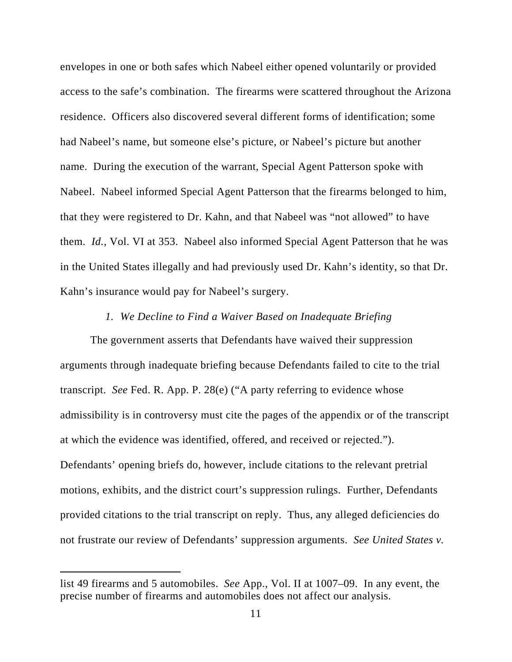envelopes in one or both safes which Nabeel either opened voluntarily or provided access to the safe's combination. The firearms were scattered throughout the Arizona residence. Officers also discovered several different forms of identification; some had Nabeel's name, but someone else's picture, or Nabeel's picture but another name. During the execution of the warrant, Special Agent Patterson spoke with Nabeel. Nabeel informed Special Agent Patterson that the firearms belonged to him, that they were registered to Dr. Kahn, and that Nabeel was "not allowed" to have them. *Id.*, Vol. VI at 353. Nabeel also informed Special Agent Patterson that he was in the United States illegally and had previously used Dr. Kahn's identity, so that Dr. Kahn's insurance would pay for Nabeel's surgery.

## *1. We Decline to Find a Waiver Based on Inadequate Briefing*

The government asserts that Defendants have waived their suppression arguments through inadequate briefing because Defendants failed to cite to the trial transcript. *See* Fed. R. App. P. 28(e) ("A party referring to evidence whose admissibility is in controversy must cite the pages of the appendix or of the transcript at which the evidence was identified, offered, and received or rejected."). Defendants' opening briefs do, however, include citations to the relevant pretrial motions, exhibits, and the district court's suppression rulings. Further, Defendants provided citations to the trial transcript on reply. Thus, any alleged deficiencies do not frustrate our review of Defendants' suppression arguments. *See United States v.* 

list 49 firearms and 5 automobiles. *See* App., Vol. II at 1007–09. In any event, the precise number of firearms and automobiles does not affect our analysis.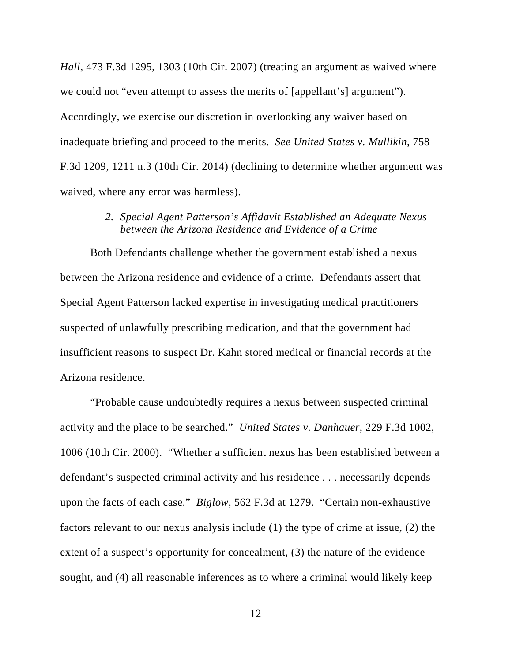*Hall*, 473 F.3d 1295, 1303 (10th Cir. 2007) (treating an argument as waived where we could not "even attempt to assess the merits of [appellant's] argument"). Accordingly, we exercise our discretion in overlooking any waiver based on inadequate briefing and proceed to the merits. *See United States v. Mullikin*, 758 F.3d 1209, 1211 n.3 (10th Cir. 2014) (declining to determine whether argument was waived, where any error was harmless).

## *2. Special Agent Patterson's Affidavit Established an Adequate Nexus between the Arizona Residence and Evidence of a Crime*

Both Defendants challenge whether the government established a nexus between the Arizona residence and evidence of a crime. Defendants assert that Special Agent Patterson lacked expertise in investigating medical practitioners suspected of unlawfully prescribing medication, and that the government had insufficient reasons to suspect Dr. Kahn stored medical or financial records at the Arizona residence.

"Probable cause undoubtedly requires a nexus between suspected criminal activity and the place to be searched." *United States v. Danhauer*, 229 F.3d 1002, 1006 (10th Cir. 2000). "Whether a sufficient nexus has been established between a defendant's suspected criminal activity and his residence . . . necessarily depends upon the facts of each case." *Biglow*, 562 F.3d at 1279. "Certain non-exhaustive factors relevant to our nexus analysis include (1) the type of crime at issue, (2) the extent of a suspect's opportunity for concealment, (3) the nature of the evidence sought, and (4) all reasonable inferences as to where a criminal would likely keep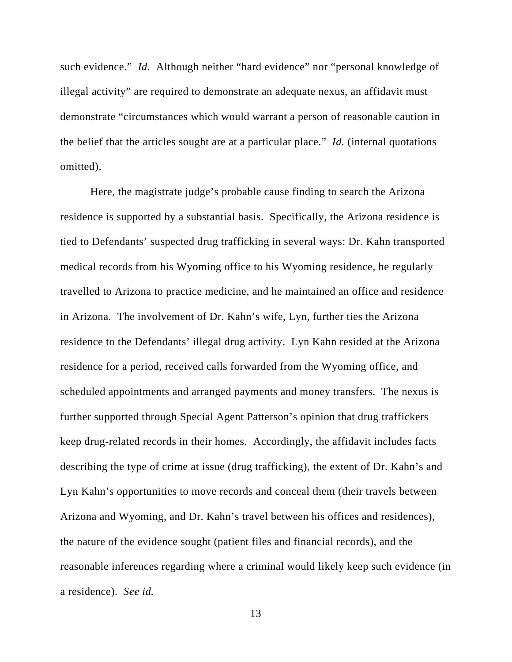such evidence." *Id.* Although neither "hard evidence" nor "personal knowledge of illegal activity" are required to demonstrate an adequate nexus, an affidavit must demonstrate "circumstances which would warrant a person of reasonable caution in the belief that the articles sought are at a particular place." *Id.* (internal quotations omitted).

Here, the magistrate judge's probable cause finding to search the Arizona residence is supported by a substantial basis. Specifically, the Arizona residence is tied to Defendants' suspected drug trafficking in several ways: Dr. Kahn transported medical records from his Wyoming office to his Wyoming residence, he regularly travelled to Arizona to practice medicine, and he maintained an office and residence in Arizona. The involvement of Dr. Kahn's wife, Lyn, further ties the Arizona residence to the Defendants' illegal drug activity. Lyn Kahn resided at the Arizona residence for a period, received calls forwarded from the Wyoming office, and scheduled appointments and arranged payments and money transfers. The nexus is further supported through Special Agent Patterson's opinion that drug traffickers keep drug-related records in their homes. Accordingly, the affidavit includes facts describing the type of crime at issue (drug trafficking), the extent of Dr. Kahn's and Lyn Kahn's opportunities to move records and conceal them (their travels between Arizona and Wyoming, and Dr. Kahn's travel between his offices and residences), the nature of the evidence sought (patient files and financial records), and the reasonable inferences regarding where a criminal would likely keep such evidence (in a residence). *See id.*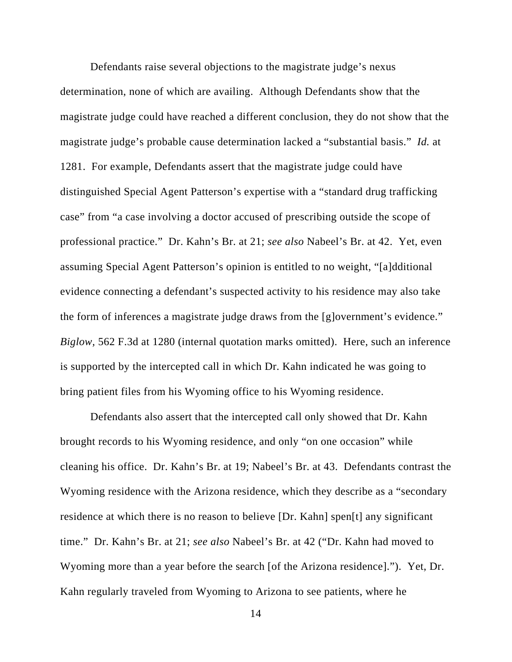Defendants raise several objections to the magistrate judge's nexus determination, none of which are availing. Although Defendants show that the magistrate judge could have reached a different conclusion, they do not show that the magistrate judge's probable cause determination lacked a "substantial basis." *Id.* at 1281. For example, Defendants assert that the magistrate judge could have distinguished Special Agent Patterson's expertise with a "standard drug trafficking case" from "a case involving a doctor accused of prescribing outside the scope of professional practice." Dr. Kahn's Br. at 21; *see also* Nabeel's Br. at 42. Yet, even assuming Special Agent Patterson's opinion is entitled to no weight, "[a]dditional evidence connecting a defendant's suspected activity to his residence may also take the form of inferences a magistrate judge draws from the [g]overnment's evidence." *Biglow,* 562 F.3d at 1280 (internal quotation marks omitted). Here, such an inference is supported by the intercepted call in which Dr. Kahn indicated he was going to bring patient files from his Wyoming office to his Wyoming residence.

Defendants also assert that the intercepted call only showed that Dr. Kahn brought records to his Wyoming residence, and only "on one occasion" while cleaning his office. Dr. Kahn's Br. at 19; Nabeel's Br. at 43. Defendants contrast the Wyoming residence with the Arizona residence, which they describe as a "secondary residence at which there is no reason to believe [Dr. Kahn] spen[t] any significant time." Dr. Kahn's Br. at 21; *see also* Nabeel's Br. at 42 ("Dr. Kahn had moved to Wyoming more than a year before the search [of the Arizona residence]."). Yet, Dr. Kahn regularly traveled from Wyoming to Arizona to see patients, where he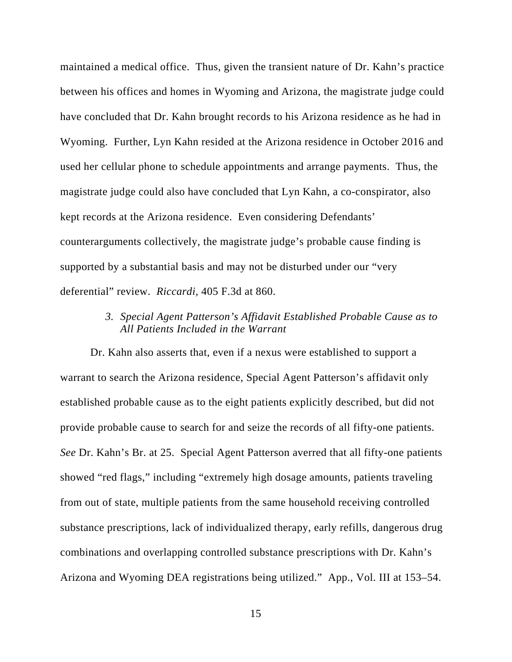maintained a medical office. Thus, given the transient nature of Dr. Kahn's practice between his offices and homes in Wyoming and Arizona, the magistrate judge could have concluded that Dr. Kahn brought records to his Arizona residence as he had in Wyoming. Further, Lyn Kahn resided at the Arizona residence in October 2016 and used her cellular phone to schedule appointments and arrange payments. Thus, the magistrate judge could also have concluded that Lyn Kahn, a co-conspirator, also kept records at the Arizona residence. Even considering Defendants' counterarguments collectively, the magistrate judge's probable cause finding is supported by a substantial basis and may not be disturbed under our "very deferential" review. *Riccardi,* 405 F.3d at 860.

## *3. Special Agent Patterson's Affidavit Established Probable Cause as to All Patients Included in the Warrant*

Dr. Kahn also asserts that, even if a nexus were established to support a warrant to search the Arizona residence, Special Agent Patterson's affidavit only established probable cause as to the eight patients explicitly described, but did not provide probable cause to search for and seize the records of all fifty-one patients. *See* Dr. Kahn's Br. at 25. Special Agent Patterson averred that all fifty-one patients showed "red flags," including "extremely high dosage amounts, patients traveling from out of state, multiple patients from the same household receiving controlled substance prescriptions, lack of individualized therapy, early refills, dangerous drug combinations and overlapping controlled substance prescriptions with Dr. Kahn's Arizona and Wyoming DEA registrations being utilized." App., Vol. III at 153–54.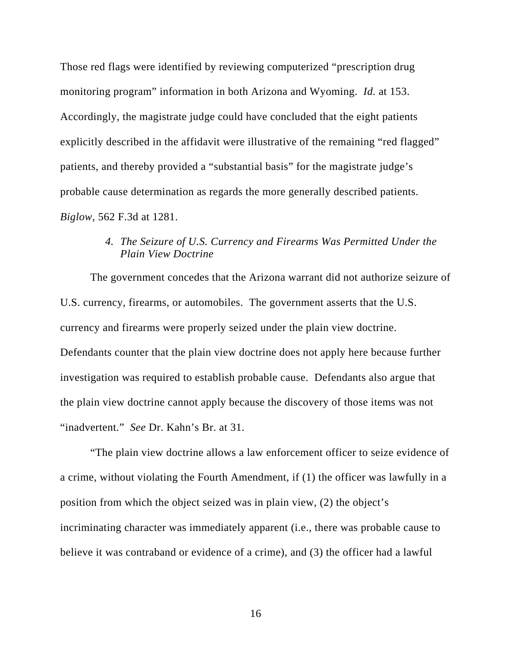Those red flags were identified by reviewing computerized "prescription drug monitoring program" information in both Arizona and Wyoming. *Id.* at 153. Accordingly, the magistrate judge could have concluded that the eight patients explicitly described in the affidavit were illustrative of the remaining "red flagged" patients, and thereby provided a "substantial basis" for the magistrate judge's probable cause determination as regards the more generally described patients. *Biglow*, 562 F.3d at 1281.

## *4. The Seizure of U.S. Currency and Firearms Was Permitted Under the Plain View Doctrine*

The government concedes that the Arizona warrant did not authorize seizure of U.S. currency, firearms, or automobiles. The government asserts that the U.S. currency and firearms were properly seized under the plain view doctrine. Defendants counter that the plain view doctrine does not apply here because further investigation was required to establish probable cause. Defendants also argue that the plain view doctrine cannot apply because the discovery of those items was not "inadvertent." *See* Dr. Kahn's Br. at 31.

"The plain view doctrine allows a law enforcement officer to seize evidence of a crime, without violating the Fourth Amendment, if (1) the officer was lawfully in a position from which the object seized was in plain view, (2) the object's incriminating character was immediately apparent (i.e., there was probable cause to believe it was contraband or evidence of a crime), and (3) the officer had a lawful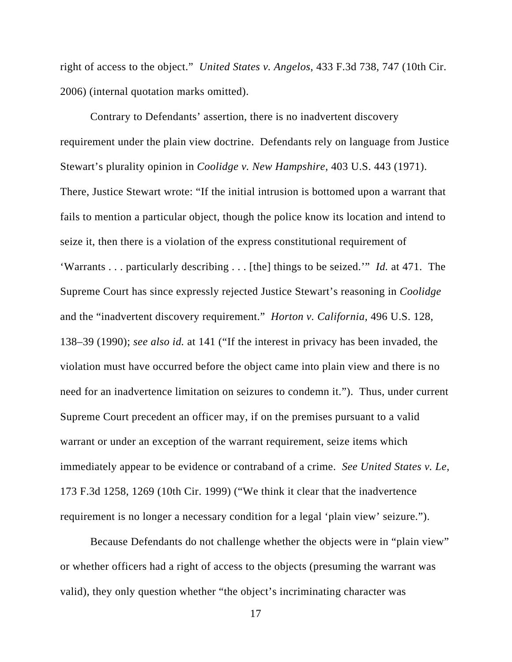right of access to the object." *United States v. Angelos*, 433 F.3d 738, 747 (10th Cir. 2006) (internal quotation marks omitted).

Contrary to Defendants' assertion, there is no inadvertent discovery requirement under the plain view doctrine. Defendants rely on language from Justice Stewart's plurality opinion in *Coolidge v. New Hampshire*, 403 U.S. 443 (1971). There, Justice Stewart wrote: "If the initial intrusion is bottomed upon a warrant that fails to mention a particular object, though the police know its location and intend to seize it, then there is a violation of the express constitutional requirement of 'Warrants . . . particularly describing . . . [the] things to be seized.'" *Id.* at 471. The Supreme Court has since expressly rejected Justice Stewart's reasoning in *Coolidge*  and the "inadvertent discovery requirement." *Horton v. California,* 496 U.S. 128, 138–39 (1990); *see also id.* at 141 ("If the interest in privacy has been invaded, the violation must have occurred before the object came into plain view and there is no need for an inadvertence limitation on seizures to condemn it."). Thus, under current Supreme Court precedent an officer may, if on the premises pursuant to a valid warrant or under an exception of the warrant requirement, seize items which immediately appear to be evidence or contraband of a crime. *See United States v. Le*, 173 F.3d 1258, 1269 (10th Cir. 1999) ("We think it clear that the inadvertence requirement is no longer a necessary condition for a legal 'plain view' seizure.").

Because Defendants do not challenge whether the objects were in "plain view" or whether officers had a right of access to the objects (presuming the warrant was valid), they only question whether "the object's incriminating character was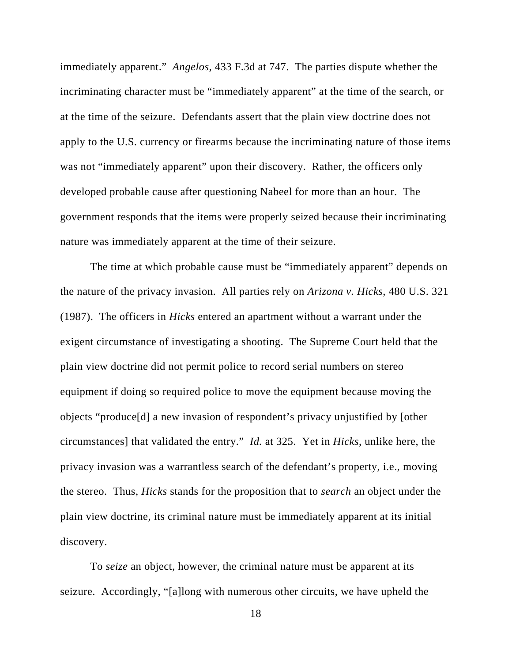immediately apparent." *Angelos*, 433 F.3d at 747. The parties dispute whether the incriminating character must be "immediately apparent" at the time of the search, or at the time of the seizure. Defendants assert that the plain view doctrine does not apply to the U.S. currency or firearms because the incriminating nature of those items was not "immediately apparent" upon their discovery. Rather, the officers only developed probable cause after questioning Nabeel for more than an hour. The government responds that the items were properly seized because their incriminating nature was immediately apparent at the time of their seizure.

The time at which probable cause must be "immediately apparent" depends on the nature of the privacy invasion. All parties rely on *Arizona v. Hicks*, 480 U.S. 321 (1987). The officers in *Hicks* entered an apartment without a warrant under the exigent circumstance of investigating a shooting. The Supreme Court held that the plain view doctrine did not permit police to record serial numbers on stereo equipment if doing so required police to move the equipment because moving the objects "produce[d] a new invasion of respondent's privacy unjustified by [other circumstances] that validated the entry." *Id.* at 325. Yet in *Hicks*, unlike here, the privacy invasion was a warrantless search of the defendant's property, i.e., moving the stereo. Thus, *Hicks* stands for the proposition that to *search* an object under the plain view doctrine, its criminal nature must be immediately apparent at its initial discovery.

To *seize* an object, however, the criminal nature must be apparent at its seizure. Accordingly, "[a]long with numerous other circuits, we have upheld the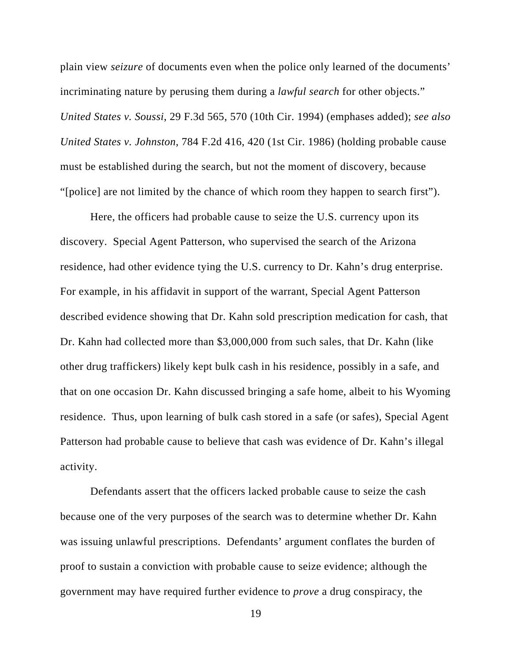plain view *seizure* of documents even when the police only learned of the documents' incriminating nature by perusing them during a *lawful search* for other objects." *United States v. Soussi*, 29 F.3d 565, 570 (10th Cir. 1994) (emphases added); *see also United States v. Johnston*, 784 F.2d 416, 420 (1st Cir. 1986) (holding probable cause must be established during the search, but not the moment of discovery, because "[police] are not limited by the chance of which room they happen to search first").

Here, the officers had probable cause to seize the U.S. currency upon its discovery. Special Agent Patterson, who supervised the search of the Arizona residence, had other evidence tying the U.S. currency to Dr. Kahn's drug enterprise. For example, in his affidavit in support of the warrant, Special Agent Patterson described evidence showing that Dr. Kahn sold prescription medication for cash, that Dr. Kahn had collected more than \$3,000,000 from such sales, that Dr. Kahn (like other drug traffickers) likely kept bulk cash in his residence, possibly in a safe, and that on one occasion Dr. Kahn discussed bringing a safe home, albeit to his Wyoming residence. Thus, upon learning of bulk cash stored in a safe (or safes), Special Agent Patterson had probable cause to believe that cash was evidence of Dr. Kahn's illegal activity.

Defendants assert that the officers lacked probable cause to seize the cash because one of the very purposes of the search was to determine whether Dr. Kahn was issuing unlawful prescriptions. Defendants' argument conflates the burden of proof to sustain a conviction with probable cause to seize evidence; although the government may have required further evidence to *prove* a drug conspiracy, the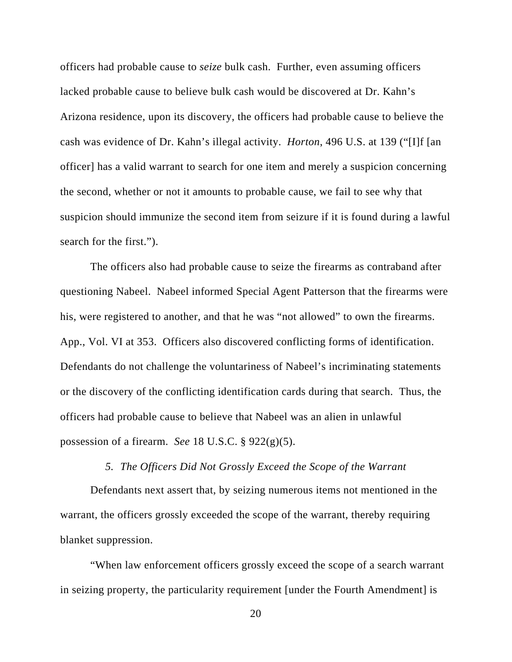officers had probable cause to *seize* bulk cash. Further, even assuming officers lacked probable cause to believe bulk cash would be discovered at Dr. Kahn's Arizona residence, upon its discovery, the officers had probable cause to believe the cash was evidence of Dr. Kahn's illegal activity. *Horton*, 496 U.S. at 139 ("[I]f [an officer] has a valid warrant to search for one item and merely a suspicion concerning the second, whether or not it amounts to probable cause, we fail to see why that suspicion should immunize the second item from seizure if it is found during a lawful search for the first.").

The officers also had probable cause to seize the firearms as contraband after questioning Nabeel. Nabeel informed Special Agent Patterson that the firearms were his, were registered to another, and that he was "not allowed" to own the firearms. App., Vol. VI at 353. Officers also discovered conflicting forms of identification. Defendants do not challenge the voluntariness of Nabeel's incriminating statements or the discovery of the conflicting identification cards during that search. Thus, the officers had probable cause to believe that Nabeel was an alien in unlawful possession of a firearm. *See* 18 U.S.C. § 922(g)(5).

#### *5. The Officers Did Not Grossly Exceed the Scope of the Warrant*

Defendants next assert that, by seizing numerous items not mentioned in the warrant, the officers grossly exceeded the scope of the warrant, thereby requiring blanket suppression.

"When law enforcement officers grossly exceed the scope of a search warrant in seizing property, the particularity requirement [under the Fourth Amendment] is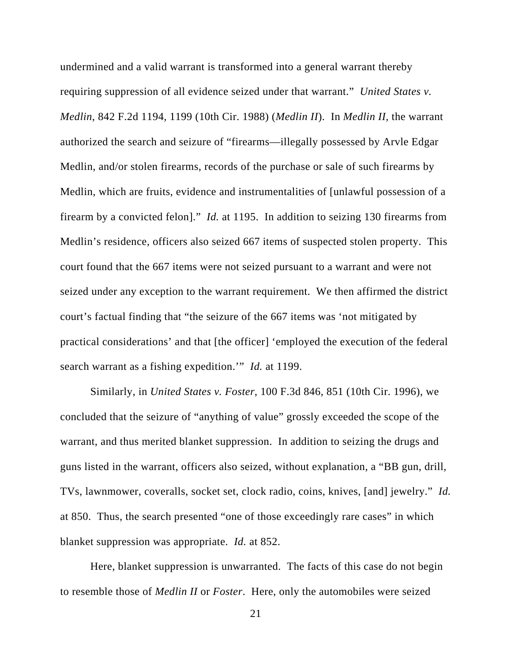undermined and a valid warrant is transformed into a general warrant thereby requiring suppression of all evidence seized under that warrant." *United States v. Medlin*, 842 F.2d 1194, 1199 (10th Cir. 1988) (*Medlin II*). In *Medlin II,* the warrant authorized the search and seizure of "firearms—illegally possessed by Arvle Edgar Medlin, and/or stolen firearms, records of the purchase or sale of such firearms by Medlin, which are fruits, evidence and instrumentalities of [unlawful possession of a firearm by a convicted felon]." *Id.* at 1195. In addition to seizing 130 firearms from Medlin's residence, officers also seized 667 items of suspected stolen property. This court found that the 667 items were not seized pursuant to a warrant and were not seized under any exception to the warrant requirement. We then affirmed the district court's factual finding that "the seizure of the 667 items was 'not mitigated by practical considerations' and that [the officer] 'employed the execution of the federal search warrant as a fishing expedition.'" *Id.* at 1199.

Similarly, in *United States v. Foster*, 100 F.3d 846, 851 (10th Cir. 1996), we concluded that the seizure of "anything of value" grossly exceeded the scope of the warrant, and thus merited blanket suppression. In addition to seizing the drugs and guns listed in the warrant, officers also seized, without explanation, a "BB gun, drill, TVs, lawnmower, coveralls, socket set, clock radio, coins, knives, [and] jewelry." *Id.*  at 850.Thus, the search presented "one of those exceedingly rare cases" in which blanket suppression was appropriate. *Id.* at 852.

Here, blanket suppression is unwarranted. The facts of this case do not begin to resemble those of *Medlin II* or *Foster*. Here, only the automobiles were seized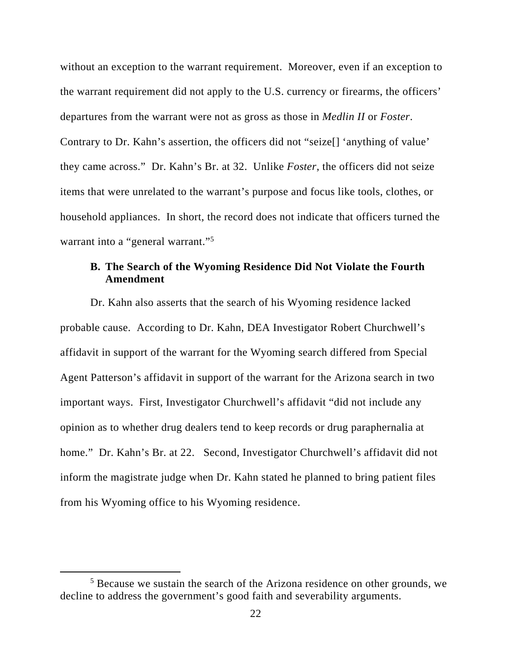without an exception to the warrant requirement. Moreover, even if an exception to the warrant requirement did not apply to the U.S. currency or firearms, the officers' departures from the warrant were not as gross as those in *Medlin II* or *Foster*. Contrary to Dr. Kahn's assertion, the officers did not "seize[] 'anything of value' they came across." Dr. Kahn's Br. at 32. Unlike *Foster*, the officers did not seize items that were unrelated to the warrant's purpose and focus like tools, clothes, or household appliances. In short, the record does not indicate that officers turned the warrant into a "general warrant."<sup>5</sup>

## **B. The Search of the Wyoming Residence Did Not Violate the Fourth Amendment**

Dr. Kahn also asserts that the search of his Wyoming residence lacked probable cause. According to Dr. Kahn, DEA Investigator Robert Churchwell's affidavit in support of the warrant for the Wyoming search differed from Special Agent Patterson's affidavit in support of the warrant for the Arizona search in two important ways. First, Investigator Churchwell's affidavit "did not include any opinion as to whether drug dealers tend to keep records or drug paraphernalia at home." Dr. Kahn's Br. at 22. Second, Investigator Churchwell's affidavit did not inform the magistrate judge when Dr. Kahn stated he planned to bring patient files from his Wyoming office to his Wyoming residence.

<sup>&</sup>lt;sup>5</sup> Because we sustain the search of the Arizona residence on other grounds, we decline to address the government's good faith and severability arguments.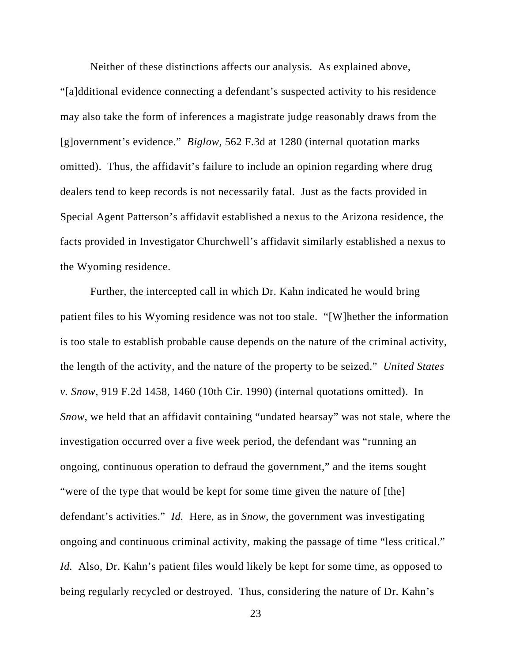Neither of these distinctions affects our analysis. As explained above, "[a]dditional evidence connecting a defendant's suspected activity to his residence may also take the form of inferences a magistrate judge reasonably draws from the [g]overnment's evidence." *Biglow,* 562 F.3d at 1280 (internal quotation marks omitted). Thus, the affidavit's failure to include an opinion regarding where drug dealers tend to keep records is not necessarily fatal. Just as the facts provided in Special Agent Patterson's affidavit established a nexus to the Arizona residence, the facts provided in Investigator Churchwell's affidavit similarly established a nexus to the Wyoming residence.

Further, the intercepted call in which Dr. Kahn indicated he would bring patient files to his Wyoming residence was not too stale. "[W]hether the information is too stale to establish probable cause depends on the nature of the criminal activity, the length of the activity, and the nature of the property to be seized." *United States v. Snow*, 919 F.2d 1458, 1460 (10th Cir. 1990) (internal quotations omitted). In *Snow*, we held that an affidavit containing "undated hearsay" was not stale, where the investigation occurred over a five week period, the defendant was "running an ongoing, continuous operation to defraud the government," and the items sought "were of the type that would be kept for some time given the nature of [the] defendant's activities." *Id.* Here, as in *Snow*, the government was investigating ongoing and continuous criminal activity, making the passage of time "less critical." *Id.* Also, Dr. Kahn's patient files would likely be kept for some time, as opposed to being regularly recycled or destroyed. Thus, considering the nature of Dr. Kahn's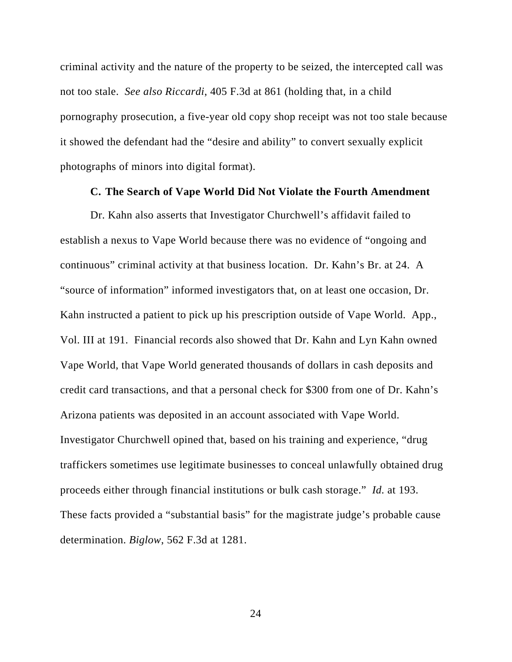criminal activity and the nature of the property to be seized, the intercepted call was not too stale. *See also Riccardi*, 405 F.3d at 861 (holding that, in a child pornography prosecution, a five-year old copy shop receipt was not too stale because it showed the defendant had the "desire and ability" to convert sexually explicit photographs of minors into digital format).

#### **C. The Search of Vape World Did Not Violate the Fourth Amendment**

Dr. Kahn also asserts that Investigator Churchwell's affidavit failed to establish a nexus to Vape World because there was no evidence of "ongoing and continuous" criminal activity at that business location. Dr. Kahn's Br. at 24. A "source of information" informed investigators that, on at least one occasion, Dr. Kahn instructed a patient to pick up his prescription outside of Vape World. App., Vol. III at 191. Financial records also showed that Dr. Kahn and Lyn Kahn owned Vape World, that Vape World generated thousands of dollars in cash deposits and credit card transactions, and that a personal check for \$300 from one of Dr. Kahn's Arizona patients was deposited in an account associated with Vape World. Investigator Churchwell opined that, based on his training and experience, "drug traffickers sometimes use legitimate businesses to conceal unlawfully obtained drug proceeds either through financial institutions or bulk cash storage." *Id.* at 193. These facts provided a "substantial basis" for the magistrate judge's probable cause determination. *Biglow*, 562 F.3d at 1281.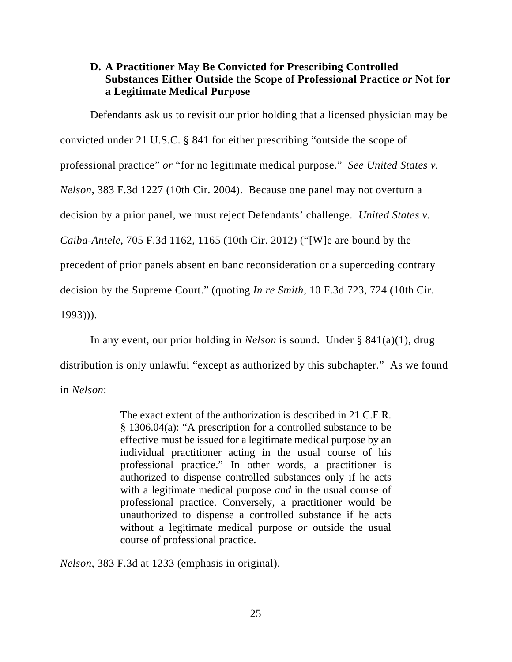## **D. A Practitioner May Be Convicted for Prescribing Controlled Substances Either Outside the Scope of Professional Practice** *or* **Not for a Legitimate Medical Purpose**

Defendants ask us to revisit our prior holding that a licensed physician may be convicted under 21 U.S.C. § 841 for either prescribing "outside the scope of professional practice" *or* "for no legitimate medical purpose." *See United States v. Nelson,* 383 F.3d 1227 (10th Cir. 2004). Because one panel may not overturn a decision by a prior panel, we must reject Defendants' challenge. *United States v. Caiba-Antele*, 705 F.3d 1162, 1165 (10th Cir. 2012) ("[W]e are bound by the precedent of prior panels absent en banc reconsideration or a superceding contrary decision by the Supreme Court." (quoting *In re Smith*, 10 F.3d 723, 724 (10th Cir. 1993))).

In any event, our prior holding in *Nelson* is sound. Under § 841(a)(1), drug distribution is only unlawful "except as authorized by this subchapter." As we found in *Nelson*:

> The exact extent of the authorization is described in 21 C.F.R. § 1306.04(a): "A prescription for a controlled substance to be effective must be issued for a legitimate medical purpose by an individual practitioner acting in the usual course of his professional practice." In other words, a practitioner is authorized to dispense controlled substances only if he acts with a legitimate medical purpose *and* in the usual course of professional practice. Conversely, a practitioner would be unauthorized to dispense a controlled substance if he acts without a legitimate medical purpose *or* outside the usual course of professional practice.

*Nelson*, 383 F.3d at 1233 (emphasis in original).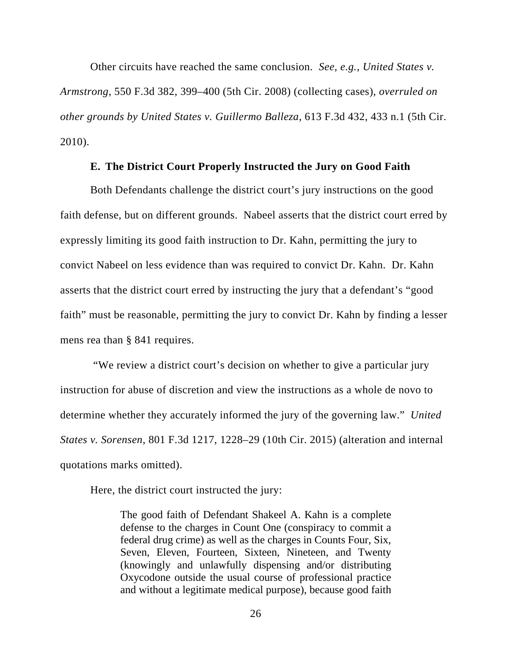Other circuits have reached the same conclusion. *See, e.g.*, *United States v. Armstrong*, 550 F.3d 382, 399–400 (5th Cir. 2008) (collecting cases), *overruled on other grounds by United States v. Guillermo Balleza*, 613 F.3d 432, 433 n.1 (5th Cir. 2010).

#### **E. The District Court Properly Instructed the Jury on Good Faith**

Both Defendants challenge the district court's jury instructions on the good faith defense, but on different grounds. Nabeel asserts that the district court erred by expressly limiting its good faith instruction to Dr. Kahn, permitting the jury to convict Nabeel on less evidence than was required to convict Dr. Kahn. Dr. Kahn asserts that the district court erred by instructing the jury that a defendant's "good faith" must be reasonable, permitting the jury to convict Dr. Kahn by finding a lesser mens rea than § 841 requires.

 "We review a district court's decision on whether to give a particular jury instruction for abuse of discretion and view the instructions as a whole de novo to determine whether they accurately informed the jury of the governing law." *United States v. Sorensen*, 801 F.3d 1217, 1228–29 (10th Cir. 2015) (alteration and internal quotations marks omitted).

Here, the district court instructed the jury:

The good faith of Defendant Shakeel A. Kahn is a complete defense to the charges in Count One (conspiracy to commit a federal drug crime) as well as the charges in Counts Four, Six, Seven, Eleven, Fourteen, Sixteen, Nineteen, and Twenty (knowingly and unlawfully dispensing and/or distributing Oxycodone outside the usual course of professional practice and without a legitimate medical purpose), because good faith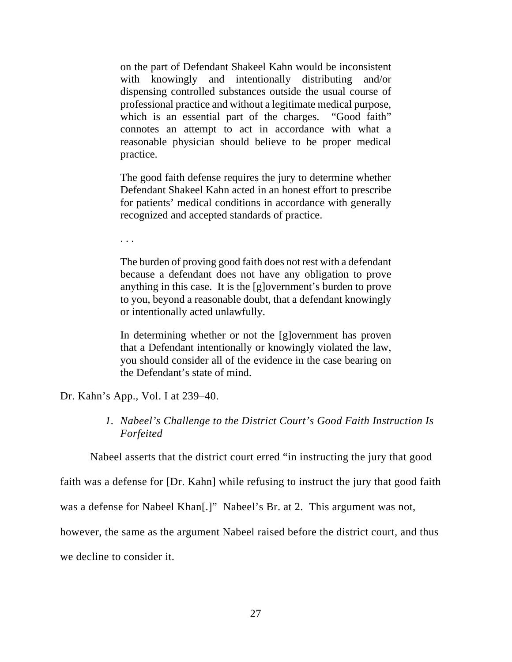on the part of Defendant Shakeel Kahn would be inconsistent with knowingly and intentionally distributing and/or dispensing controlled substances outside the usual course of professional practice and without a legitimate medical purpose, which is an essential part of the charges. "Good faith" connotes an attempt to act in accordance with what a reasonable physician should believe to be proper medical practice.

The good faith defense requires the jury to determine whether Defendant Shakeel Kahn acted in an honest effort to prescribe for patients' medical conditions in accordance with generally recognized and accepted standards of practice.

. . .

The burden of proving good faith does not rest with a defendant because a defendant does not have any obligation to prove anything in this case. It is the [g]overnment's burden to prove to you, beyond a reasonable doubt, that a defendant knowingly or intentionally acted unlawfully.

In determining whether or not the [g]overnment has proven that a Defendant intentionally or knowingly violated the law, you should consider all of the evidence in the case bearing on the Defendant's state of mind.

Dr. Kahn's App., Vol. I at 239–40.

*1. Nabeel's Challenge to the District Court's Good Faith Instruction Is Forfeited* 

Nabeel asserts that the district court erred "in instructing the jury that good

faith was a defense for [Dr. Kahn] while refusing to instruct the jury that good faith

was a defense for Nabeel Khan[.]" Nabeel's Br. at 2. This argument was not,

however, the same as the argument Nabeel raised before the district court, and thus

we decline to consider it.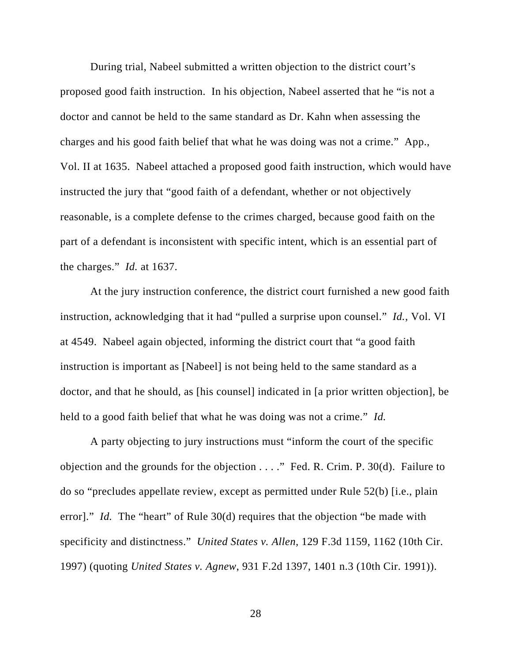During trial, Nabeel submitted a written objection to the district court's proposed good faith instruction. In his objection, Nabeel asserted that he "is not a doctor and cannot be held to the same standard as Dr. Kahn when assessing the charges and his good faith belief that what he was doing was not a crime." App., Vol. II at 1635. Nabeel attached a proposed good faith instruction, which would have instructed the jury that "good faith of a defendant, whether or not objectively reasonable, is a complete defense to the crimes charged, because good faith on the part of a defendant is inconsistent with specific intent, which is an essential part of the charges." *Id.* at 1637.

At the jury instruction conference, the district court furnished a new good faith instruction, acknowledging that it had "pulled a surprise upon counsel." *Id.*, Vol. VI at 4549. Nabeel again objected, informing the district court that "a good faith instruction is important as [Nabeel] is not being held to the same standard as a doctor, and that he should, as [his counsel] indicated in [a prior written objection], be held to a good faith belief that what he was doing was not a crime." *Id.* 

A party objecting to jury instructions must "inform the court of the specific objection and the grounds for the objection . . . ." Fed. R. Crim. P. 30(d). Failure to do so "precludes appellate review, except as permitted under Rule 52(b) [i.e., plain error]." *Id.* The "heart" of Rule 30(d) requires that the objection "be made with specificity and distinctness." *United States v. Allen*, 129 F.3d 1159, 1162 (10th Cir. 1997) (quoting *United States v. Agnew*, 931 F.2d 1397, 1401 n.3 (10th Cir. 1991)).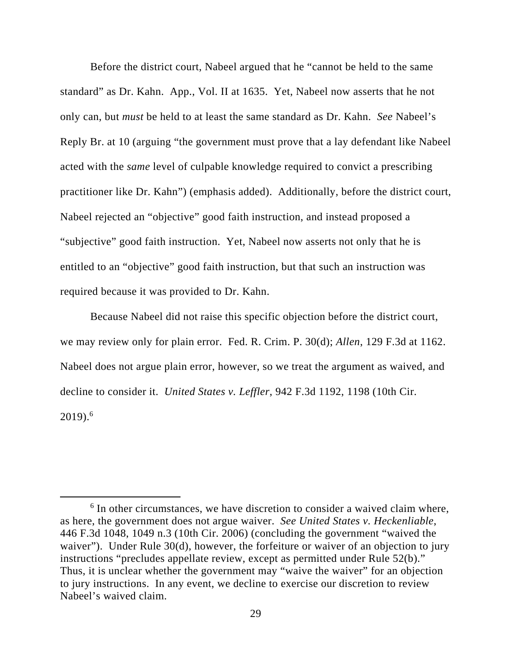Before the district court, Nabeel argued that he "cannot be held to the same standard" as Dr. Kahn. App., Vol. II at 1635. Yet, Nabeel now asserts that he not only can, but *must* be held to at least the same standard as Dr. Kahn. *See* Nabeel's Reply Br. at 10 (arguing "the government must prove that a lay defendant like Nabeel acted with the *same* level of culpable knowledge required to convict a prescribing practitioner like Dr. Kahn") (emphasis added). Additionally, before the district court, Nabeel rejected an "objective" good faith instruction, and instead proposed a "subjective" good faith instruction. Yet, Nabeel now asserts not only that he is entitled to an "objective" good faith instruction, but that such an instruction was required because it was provided to Dr. Kahn.

Because Nabeel did not raise this specific objection before the district court, we may review only for plain error. Fed. R. Crim. P. 30(d); *Allen*, 129 F.3d at 1162. Nabeel does not argue plain error, however, so we treat the argument as waived, and decline to consider it. *United States v. Leffler*, 942 F.3d 1192, 1198 (10th Cir.  $2019).<sup>6</sup>$ 

<sup>&</sup>lt;sup>6</sup> In other circumstances, we have discretion to consider a waived claim where, as here, the government does not argue waiver. *See United States v. Heckenliable*, 446 F.3d 1048, 1049 n.3 (10th Cir. 2006) (concluding the government "waived the waiver"). Under Rule 30(d), however, the forfeiture or waiver of an objection to jury instructions "precludes appellate review, except as permitted under Rule 52(b)." Thus, it is unclear whether the government may "waive the waiver" for an objection to jury instructions. In any event, we decline to exercise our discretion to review Nabeel's waived claim.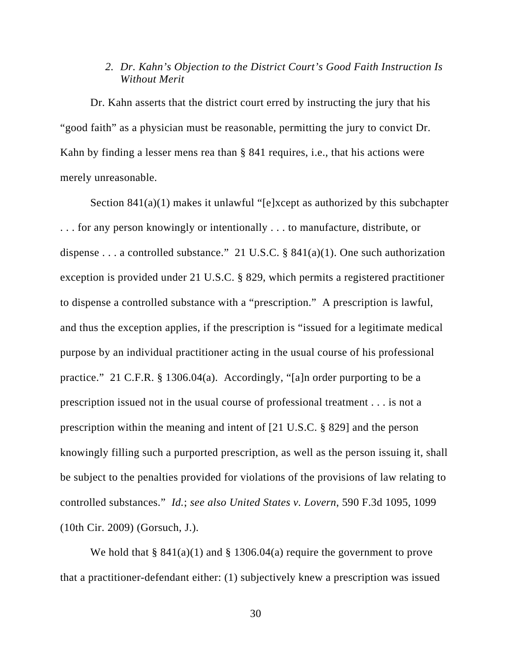## *2. Dr. Kahn's Objection to the District Court's Good Faith Instruction Is Without Merit*

Dr. Kahn asserts that the district court erred by instructing the jury that his "good faith" as a physician must be reasonable, permitting the jury to convict Dr. Kahn by finding a lesser mens rea than § 841 requires, i.e., that his actions were merely unreasonable.

Section 841(a)(1) makes it unlawful "[e]xcept as authorized by this subchapter . . . for any person knowingly or intentionally . . . to manufacture, distribute, or dispense . . . a controlled substance." 21 U.S.C. § 841(a)(1). One such authorization exception is provided under 21 U.S.C. § 829, which permits a registered practitioner to dispense a controlled substance with a "prescription." A prescription is lawful, and thus the exception applies, if the prescription is "issued for a legitimate medical purpose by an individual practitioner acting in the usual course of his professional practice." 21 C.F.R. § 1306.04(a). Accordingly, "[a]n order purporting to be a prescription issued not in the usual course of professional treatment . . . is not a prescription within the meaning and intent of [21 U.S.C. § 829] and the person knowingly filling such a purported prescription, as well as the person issuing it, shall be subject to the penalties provided for violations of the provisions of law relating to controlled substances." *Id.*; *see also United States v. Lovern*, 590 F.3d 1095, 1099 (10th Cir. 2009) (Gorsuch, J.).

We hold that  $\S$  841(a)(1) and  $\S$  1306.04(a) require the government to prove that a practitioner-defendant either: (1) subjectively knew a prescription was issued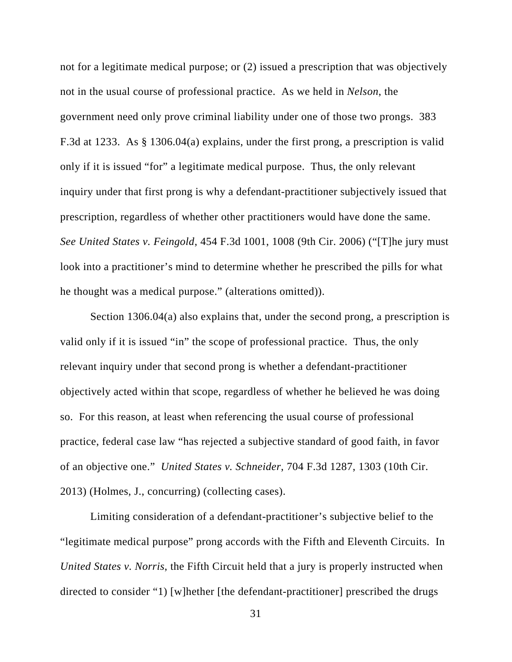not for a legitimate medical purpose; or (2) issued a prescription that was objectively not in the usual course of professional practice. As we held in *Nelson*, the government need only prove criminal liability under one of those two prongs. 383 F.3d at 1233. As § 1306.04(a) explains, under the first prong, a prescription is valid only if it is issued "for" a legitimate medical purpose. Thus, the only relevant inquiry under that first prong is why a defendant-practitioner subjectively issued that prescription, regardless of whether other practitioners would have done the same. *See United States v. Feingold*, 454 F.3d 1001, 1008 (9th Cir. 2006) ("[T]he jury must look into a practitioner's mind to determine whether he prescribed the pills for what he thought was a medical purpose." (alterations omitted)).

Section 1306.04(a) also explains that, under the second prong, a prescription is valid only if it is issued "in" the scope of professional practice. Thus, the only relevant inquiry under that second prong is whether a defendant-practitioner objectively acted within that scope, regardless of whether he believed he was doing so. For this reason, at least when referencing the usual course of professional practice, federal case law "has rejected a subjective standard of good faith, in favor of an objective one." *United States v. Schneider*, 704 F.3d 1287, 1303 (10th Cir. 2013) (Holmes, J., concurring) (collecting cases).

Limiting consideration of a defendant-practitioner's subjective belief to the "legitimate medical purpose" prong accords with the Fifth and Eleventh Circuits. In *United States v. Norris*, the Fifth Circuit held that a jury is properly instructed when directed to consider "1) [w]hether [the defendant-practitioner] prescribed the drugs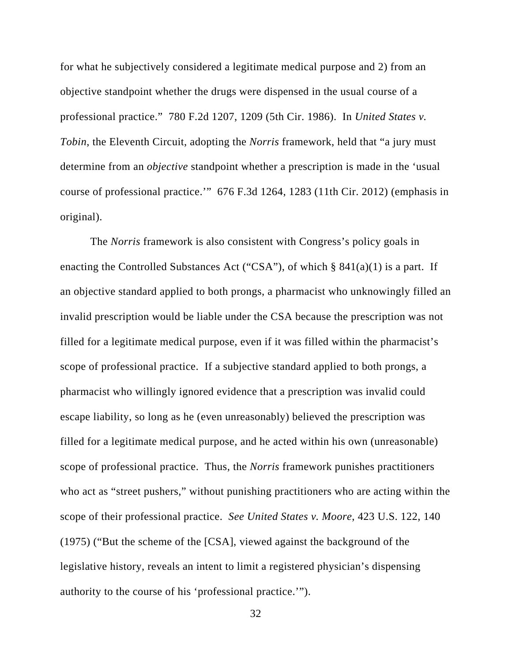for what he subjectively considered a legitimate medical purpose and 2) from an objective standpoint whether the drugs were dispensed in the usual course of a professional practice." 780 F.2d 1207, 1209 (5th Cir. 1986). In *United States v. Tobin*, the Eleventh Circuit, adopting the *Norris* framework, held that "a jury must determine from an *objective* standpoint whether a prescription is made in the 'usual course of professional practice.'" 676 F.3d 1264, 1283 (11th Cir. 2012) (emphasis in original).

The *Norris* framework is also consistent with Congress's policy goals in enacting the Controlled Substances Act ("CSA"), of which  $\S$  841(a)(1) is a part. If an objective standard applied to both prongs, a pharmacist who unknowingly filled an invalid prescription would be liable under the CSA because the prescription was not filled for a legitimate medical purpose, even if it was filled within the pharmacist's scope of professional practice. If a subjective standard applied to both prongs, a pharmacist who willingly ignored evidence that a prescription was invalid could escape liability, so long as he (even unreasonably) believed the prescription was filled for a legitimate medical purpose, and he acted within his own (unreasonable) scope of professional practice. Thus, the *Norris* framework punishes practitioners who act as "street pushers," without punishing practitioners who are acting within the scope of their professional practice. *See United States v. Moore*, 423 U.S. 122, 140 (1975) ("But the scheme of the [CSA], viewed against the background of the legislative history, reveals an intent to limit a registered physician's dispensing authority to the course of his 'professional practice.'").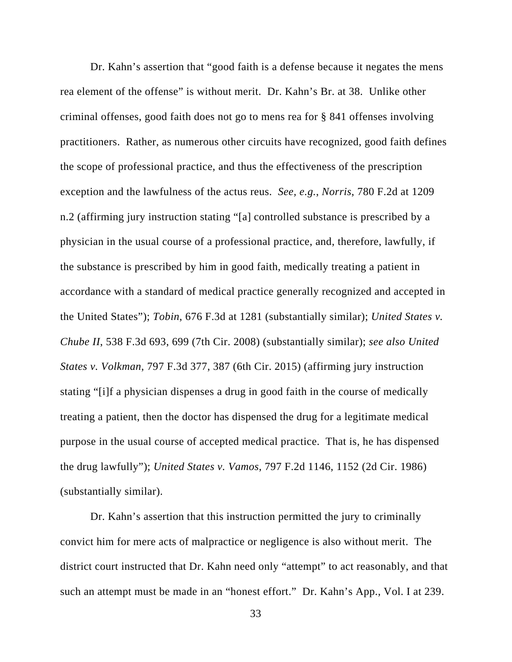Dr. Kahn's assertion that "good faith is a defense because it negates the mens rea element of the offense" is without merit. Dr. Kahn's Br. at 38. Unlike other criminal offenses, good faith does not go to mens rea for § 841 offenses involving practitioners. Rather, as numerous other circuits have recognized, good faith defines the scope of professional practice, and thus the effectiveness of the prescription exception and the lawfulness of the actus reus. *See, e.g.*, *Norris*, 780 F.2d at 1209 n.2 (affirming jury instruction stating "[a] controlled substance is prescribed by a physician in the usual course of a professional practice, and, therefore, lawfully, if the substance is prescribed by him in good faith, medically treating a patient in accordance with a standard of medical practice generally recognized and accepted in the United States"); *Tobin*, 676 F.3d at 1281 (substantially similar); *United States v. Chube II*, 538 F.3d 693, 699 (7th Cir. 2008) (substantially similar); *see also United States v. Volkman*, 797 F.3d 377, 387 (6th Cir. 2015) (affirming jury instruction stating "[i]f a physician dispenses a drug in good faith in the course of medically treating a patient, then the doctor has dispensed the drug for a legitimate medical purpose in the usual course of accepted medical practice. That is, he has dispensed the drug lawfully"); *United States v. Vamos*, 797 F.2d 1146, 1152 (2d Cir. 1986) (substantially similar).

Dr. Kahn's assertion that this instruction permitted the jury to criminally convict him for mere acts of malpractice or negligence is also without merit. The district court instructed that Dr. Kahn need only "attempt" to act reasonably, and that such an attempt must be made in an "honest effort." Dr. Kahn's App., Vol. I at 239.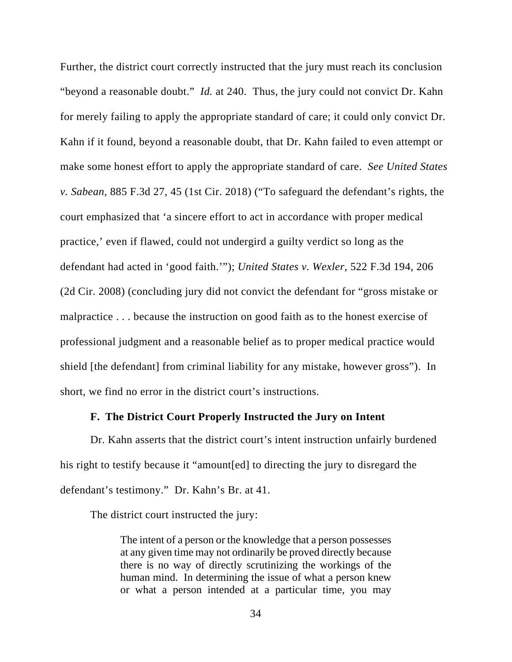Further, the district court correctly instructed that the jury must reach its conclusion "beyond a reasonable doubt." *Id.* at 240. Thus, the jury could not convict Dr. Kahn for merely failing to apply the appropriate standard of care; it could only convict Dr. Kahn if it found, beyond a reasonable doubt, that Dr. Kahn failed to even attempt or make some honest effort to apply the appropriate standard of care. *See United States v. Sabean*, 885 F.3d 27, 45 (1st Cir. 2018) ("To safeguard the defendant's rights, the court emphasized that 'a sincere effort to act in accordance with proper medical practice,' even if flawed, could not undergird a guilty verdict so long as the defendant had acted in 'good faith.'"); *United States v. Wexler*, 522 F.3d 194, 206 (2d Cir. 2008) (concluding jury did not convict the defendant for "gross mistake or malpractice . . . because the instruction on good faith as to the honest exercise of professional judgment and a reasonable belief as to proper medical practice would shield [the defendant] from criminal liability for any mistake, however gross"). In short, we find no error in the district court's instructions.

### **F. The District Court Properly Instructed the Jury on Intent**

Dr. Kahn asserts that the district court's intent instruction unfairly burdened his right to testify because it "amount[ed] to directing the jury to disregard the defendant's testimony." Dr. Kahn's Br. at 41.

The district court instructed the jury:

The intent of a person or the knowledge that a person possesses at any given time may not ordinarily be proved directly because there is no way of directly scrutinizing the workings of the human mind. In determining the issue of what a person knew or what a person intended at a particular time, you may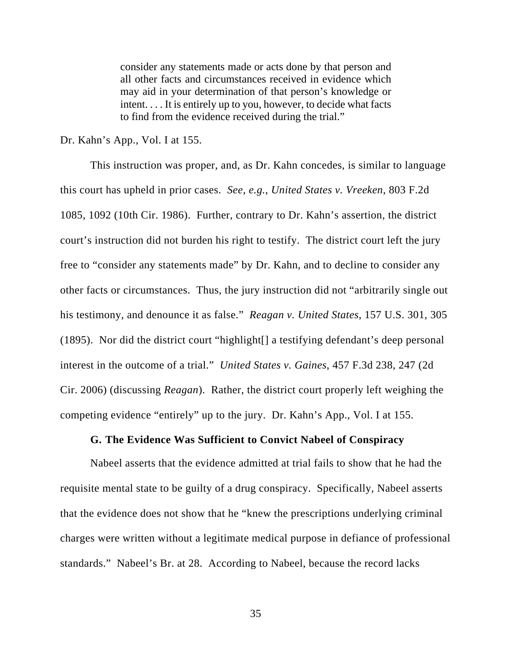consider any statements made or acts done by that person and all other facts and circumstances received in evidence which may aid in your determination of that person's knowledge or intent. . . . It is entirely up to you, however, to decide what facts to find from the evidence received during the trial."

#### Dr. Kahn's App., Vol. I at 155.

This instruction was proper, and, as Dr. Kahn concedes, is similar to language this court has upheld in prior cases. *See, e.g.*, *United States v. Vreeken*, 803 F.2d 1085, 1092 (10th Cir. 1986). Further, contrary to Dr. Kahn's assertion, the district court's instruction did not burden his right to testify. The district court left the jury free to "consider any statements made" by Dr. Kahn, and to decline to consider any other facts or circumstances. Thus, the jury instruction did not "arbitrarily single out his testimony, and denounce it as false." *Reagan v. United States*, 157 U.S. 301, 305 (1895). Nor did the district court "highlight[] a testifying defendant's deep personal interest in the outcome of a trial." *United States v. Gaines*, 457 F.3d 238, 247 (2d Cir. 2006) (discussing *Reagan*). Rather, the district court properly left weighing the competing evidence "entirely" up to the jury. Dr. Kahn's App., Vol. I at 155.

#### **G. The Evidence Was Sufficient to Convict Nabeel of Conspiracy**

Nabeel asserts that the evidence admitted at trial fails to show that he had the requisite mental state to be guilty of a drug conspiracy. Specifically, Nabeel asserts that the evidence does not show that he "knew the prescriptions underlying criminal charges were written without a legitimate medical purpose in defiance of professional standards." Nabeel's Br. at 28. According to Nabeel, because the record lacks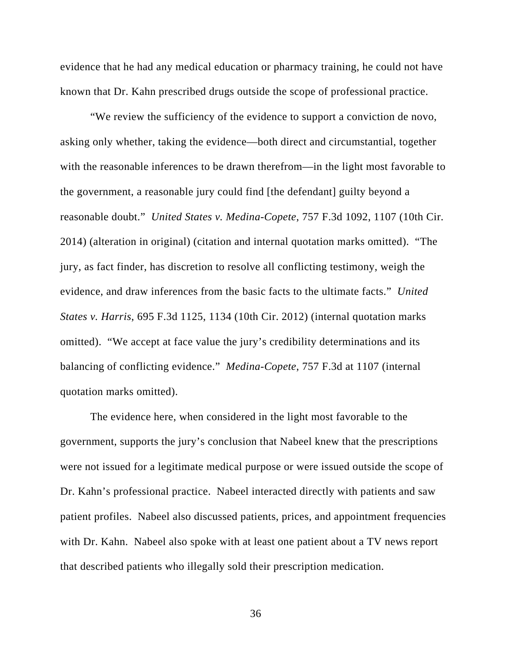evidence that he had any medical education or pharmacy training, he could not have known that Dr. Kahn prescribed drugs outside the scope of professional practice.

"We review the sufficiency of the evidence to support a conviction de novo, asking only whether, taking the evidence—both direct and circumstantial, together with the reasonable inferences to be drawn therefrom—in the light most favorable to the government, a reasonable jury could find [the defendant] guilty beyond a reasonable doubt." *United States v. Medina-Copete*, 757 F.3d 1092, 1107 (10th Cir. 2014) (alteration in original) (citation and internal quotation marks omitted). "The jury, as fact finder, has discretion to resolve all conflicting testimony, weigh the evidence, and draw inferences from the basic facts to the ultimate facts." *United States v. Harris*, 695 F.3d 1125, 1134 (10th Cir. 2012) (internal quotation marks omitted). "We accept at face value the jury's credibility determinations and its balancing of conflicting evidence." *Medina-Copete*, 757 F.3d at 1107 (internal quotation marks omitted).

The evidence here, when considered in the light most favorable to the government, supports the jury's conclusion that Nabeel knew that the prescriptions were not issued for a legitimate medical purpose or were issued outside the scope of Dr. Kahn's professional practice. Nabeel interacted directly with patients and saw patient profiles. Nabeel also discussed patients, prices, and appointment frequencies with Dr. Kahn. Nabeel also spoke with at least one patient about a TV news report that described patients who illegally sold their prescription medication.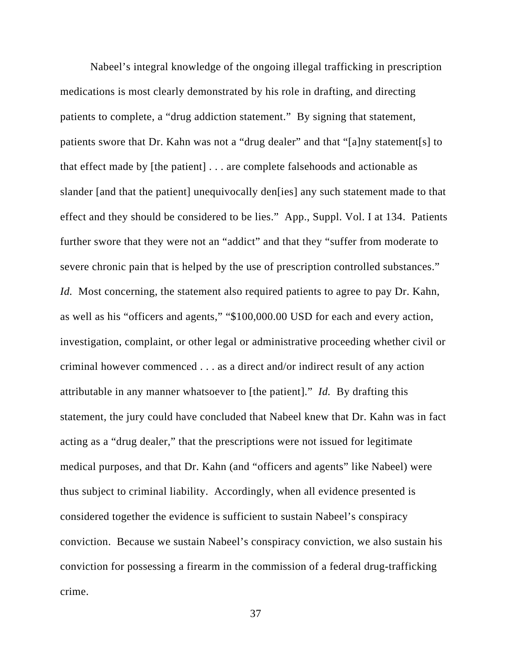Nabeel's integral knowledge of the ongoing illegal trafficking in prescription medications is most clearly demonstrated by his role in drafting, and directing patients to complete, a "drug addiction statement." By signing that statement, patients swore that Dr. Kahn was not a "drug dealer" and that "[a]ny statement[s] to that effect made by [the patient] . . . are complete falsehoods and actionable as slander [and that the patient] unequivocally den[ies] any such statement made to that effect and they should be considered to be lies." App., Suppl. Vol. I at 134. Patients further swore that they were not an "addict" and that they "suffer from moderate to severe chronic pain that is helped by the use of prescription controlled substances." *Id.* Most concerning, the statement also required patients to agree to pay Dr. Kahn, as well as his "officers and agents," "\$100,000.00 USD for each and every action, investigation, complaint, or other legal or administrative proceeding whether civil or criminal however commenced . . . as a direct and/or indirect result of any action attributable in any manner whatsoever to [the patient]." *Id.* By drafting this statement, the jury could have concluded that Nabeel knew that Dr. Kahn was in fact acting as a "drug dealer," that the prescriptions were not issued for legitimate medical purposes, and that Dr. Kahn (and "officers and agents" like Nabeel) were thus subject to criminal liability. Accordingly, when all evidence presented is considered together the evidence is sufficient to sustain Nabeel's conspiracy conviction. Because we sustain Nabeel's conspiracy conviction, we also sustain his conviction for possessing a firearm in the commission of a federal drug-trafficking crime.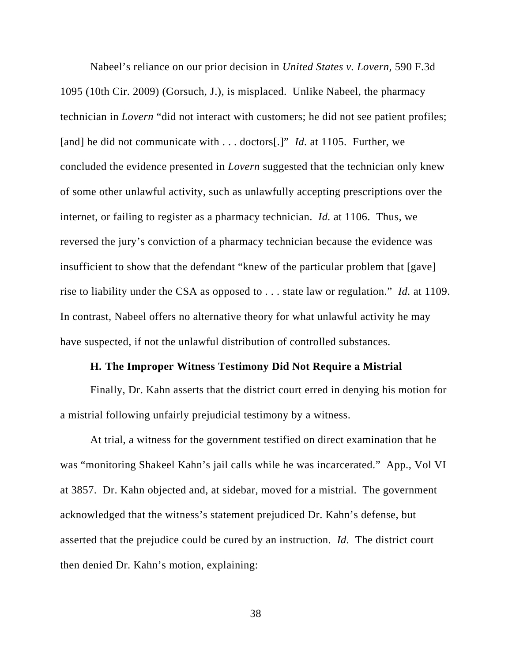Nabeel's reliance on our prior decision in *United States v. Lovern,* 590 F.3d 1095 (10th Cir. 2009) (Gorsuch, J.), is misplaced. Unlike Nabeel, the pharmacy technician in *Lovern* "did not interact with customers; he did not see patient profiles; [and] he did not communicate with . . . doctors[.]" *Id.* at 1105. Further, we concluded the evidence presented in *Lovern* suggested that the technician only knew of some other unlawful activity, such as unlawfully accepting prescriptions over the internet, or failing to register as a pharmacy technician. *Id.* at 1106. Thus*,* we reversed the jury's conviction of a pharmacy technician because the evidence was insufficient to show that the defendant "knew of the particular problem that [gave] rise to liability under the CSA as opposed to . . . state law or regulation." *Id.* at 1109. In contrast, Nabeel offers no alternative theory for what unlawful activity he may have suspected, if not the unlawful distribution of controlled substances.

#### **H. The Improper Witness Testimony Did Not Require a Mistrial**

Finally, Dr. Kahn asserts that the district court erred in denying his motion for a mistrial following unfairly prejudicial testimony by a witness.

At trial, a witness for the government testified on direct examination that he was "monitoring Shakeel Kahn's jail calls while he was incarcerated." App., Vol VI at 3857. Dr. Kahn objected and, at sidebar, moved for a mistrial. The government acknowledged that the witness's statement prejudiced Dr. Kahn's defense, but asserted that the prejudice could be cured by an instruction. *Id.* The district court then denied Dr. Kahn's motion, explaining: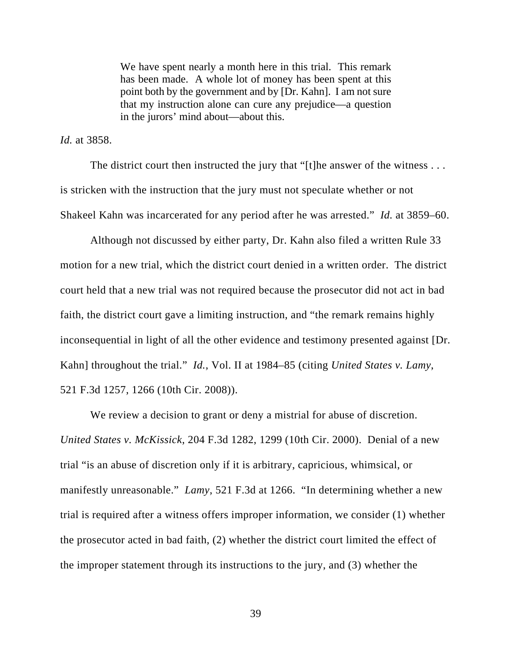We have spent nearly a month here in this trial. This remark has been made. A whole lot of money has been spent at this point both by the government and by [Dr. Kahn]. I am not sure that my instruction alone can cure any prejudice—a question in the jurors' mind about—about this.

*Id.* at 3858.

The district court then instructed the jury that "[t]he answer of the witness . . . is stricken with the instruction that the jury must not speculate whether or not Shakeel Kahn was incarcerated for any period after he was arrested." *Id.* at 3859–60.

Although not discussed by either party, Dr. Kahn also filed a written Rule 33 motion for a new trial, which the district court denied in a written order. The district court held that a new trial was not required because the prosecutor did not act in bad faith, the district court gave a limiting instruction, and "the remark remains highly inconsequential in light of all the other evidence and testimony presented against [Dr. Kahn] throughout the trial." *Id.*, Vol. II at 1984–85 (citing *United States v. Lamy*, 521 F.3d 1257, 1266 (10th Cir. 2008)).

We review a decision to grant or deny a mistrial for abuse of discretion. *United States v. McKissick*, 204 F.3d 1282, 1299 (10th Cir. 2000). Denial of a new trial "is an abuse of discretion only if it is arbitrary, capricious, whimsical, or manifestly unreasonable." *Lamy*, 521 F.3d at 1266. "In determining whether a new trial is required after a witness offers improper information, we consider (1) whether the prosecutor acted in bad faith, (2) whether the district court limited the effect of the improper statement through its instructions to the jury, and (3) whether the